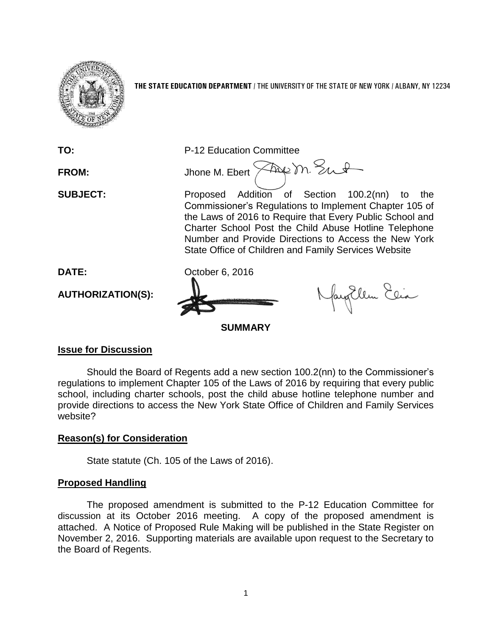

**THE STATE EDUCATION DEPARTMENT** / THE UNIVERSITY OF THE STATE OF NEW YORK / ALBANY, NY 12234

**TO:** P-12 Education Committee FROM: Jhone M. Ebert  $\sqrt{2\omega}$  m. Sunt **SUBJECT:** Proposed Addition of Section 100.2(nn) to the Commissioner's Regulations to Implement Chapter 105 of the Laws of 2016 to Require that Every Public School and Charter School Post the Child Abuse Hotline Telephone Number and Provide Directions to Access the New York State Office of Children and Family Services Website **DATE:** October 6, 2016 Nagllem Elia **AUTHORIZATION(S): SUMMARY**

#### **Issue for Discussion**

Should the Board of Regents add a new section 100.2(nn) to the Commissioner's regulations to implement Chapter 105 of the Laws of 2016 by requiring that every public school, including charter schools, post the child abuse hotline telephone number and provide directions to access the New York State Office of Children and Family Services website?

# **Reason(s) for Consideration**

State statute (Ch. 105 of the Laws of 2016).

#### **Proposed Handling**

The proposed amendment is submitted to the P-12 Education Committee for discussion at its October 2016 meeting. A copy of the proposed amendment is attached. A Notice of Proposed Rule Making will be published in the State Register on November 2, 2016. Supporting materials are available upon request to the Secretary to the Board of Regents.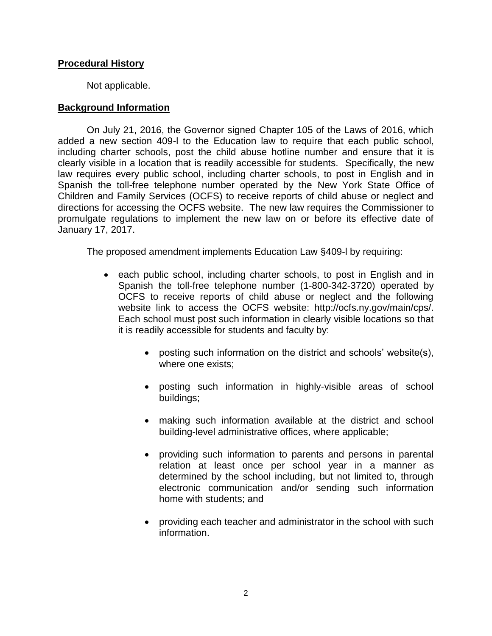#### **Procedural History**

Not applicable.

## **Background Information**

On July 21, 2016, the Governor signed Chapter 105 of the Laws of 2016, which added a new section 409-l to the Education law to require that each public school, including charter schools, post the child abuse hotline number and ensure that it is clearly visible in a location that is readily accessible for students. Specifically, the new law requires every public school, including charter schools, to post in English and in Spanish the toll-free telephone number operated by the New York State Office of Children and Family Services (OCFS) to receive reports of child abuse or neglect and directions for accessing the OCFS website. The new law requires the Commissioner to promulgate regulations to implement the new law on or before its effective date of January 17, 2017.

The proposed amendment implements Education Law §409-l by requiring:

- each public school, including charter schools, to post in English and in Spanish the toll-free telephone number (1-800-342-3720) operated by OCFS to receive reports of child abuse or neglect and the following website link to access the OCFS website: http://ocfs.ny.gov/main/cps/. Each school must post such information in clearly visible locations so that it is readily accessible for students and faculty by:
	- posting such information on the district and schools' website(s), where one exists;
	- posting such information in highly-visible areas of school buildings;
	- making such information available at the district and school building-level administrative offices, where applicable;
	- providing such information to parents and persons in parental relation at least once per school year in a manner as determined by the school including, but not limited to, through electronic communication and/or sending such information home with students; and
	- providing each teacher and administrator in the school with such information.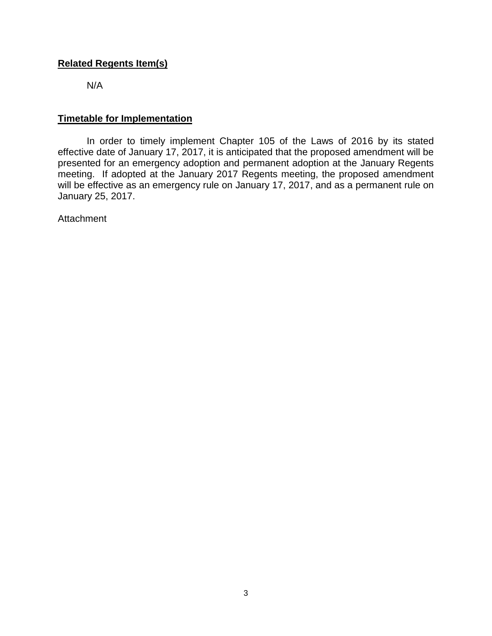# **Related Regents Item(s)**

N/A

## **Timetable for Implementation**

In order to timely implement Chapter 105 of the Laws of 2016 by its stated effective date of January 17, 2017, it is anticipated that the proposed amendment will be presented for an emergency adoption and permanent adoption at the January Regents meeting. If adopted at the January 2017 Regents meeting, the proposed amendment will be effective as an emergency rule on January 17, 2017, and as a permanent rule on January 25, 2017.

Attachment